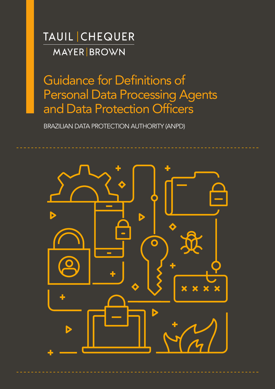**TAUIL CHEQUER MAYER BROWN** 

Guidance for Definitions of Personal Data Processing Agents and Data Protection Officers

BRAZILIAN DATA PROTECTION AUTHORITY (ANPD)

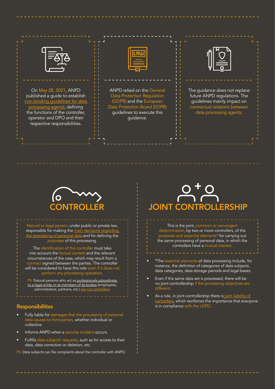On May 28, 2021, ANPD published a guide to establish non-binding guidelines for data processing agents, defining the functions of the controller, operator and DPO and their respective responsibilities.



ANPD relied on the General Data Protection Regulation (GDPR) and the European Data Protection Board (EDPB) guidelines to execute this guidance.



The guidance does not replace future ANPD regulations. The guidelines mainly impact on contractual relations between data processing agents.



Natural or legal person, under public or private law, responsible for making the main decisions regarding the processing of personal data and for defining the purposes of this processing.

The identification of the controller must take into account the factual context and the relevant circumstances of the case, which may result from a contract signed between the parties. The controller will be considered to have this role even if it does not perform any processing operation.

PS: Natural persons who act as professionals subordinate to a legal entity or as members of its bodies (employees, administrators, partners, etc.) are not control

#### **Responsibilities**

- Fully liable for damages that the processing of personal data causes to third parties, whether individual or collective.
- Informs ANPD when a security incident occurs.
- Fulfills data subjects' requests, such as for access to their data, data correction or deletion, etc.
- PS: Data subjects can file complaints about the controller with ANPD.

## CONTROLLER JOINT CONTROLLERSHIP

This is the joint, common or convergent determination, by two or more controllers, of the purposes and essential elements\* for carrying out the same processing of personal data, in which the controllers have a mutual interest.

- \*The essential elements of data processing include, for instance, the definition of categories of data subjects, data categories, data storage periods and legal bases.
- Even if the same data set is processed, there will be no joint controllership if the processing objectives are different.
- As a rule, in joint controllership there is joint liability of controllers, which reinforces the importance that everyone is in compliance with the LGPD.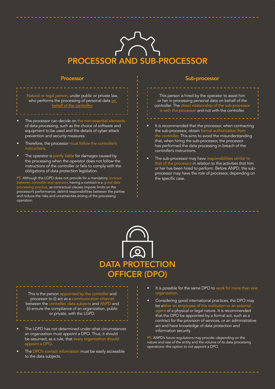# PROCESSOR AND SUB-PROCESSOR

#### Processor

#### Sub-processor

Natural or legal person, under public or private law, who performs the processing of personal data on behalf of the controller.

- The processor can decide on the non-essential elements of data processing, such as the choice of software and equipment to be used and the details of cyber attack prevention and security measures.
- Therefore, the processor must follow the controller's instructions.
- The operator is jointly liable for damages caused by the processing when the operator does not follow the instructions of the controller or fails to comply with the obligations of data protection legislation.

PS: Although the LGPD does not provide for a mandatory contract between controller and operator, having a contract is a good data processing practice, as contractual clauses impose limits on the processor's performance, delimit responsibilities between the parties and reduce the risks and uncertainties arising of the processing operation.

This person is hired by the operator to assist him or her in processing personal data on behalf of the controller. The direct relationship of the sub-processor is with the processor and not with the controller.

- It is recommended that the processor, when contracting the sub-processor, obtain formal authorization from the controller. This aims to avoid the misunderstanding that, when hiring the sub-processor, the processor has performed the data processing in breach of the controller's instructions.
- The sub-processor may have responsibilities similar to that of the processor in relation to the activities that him or her has been hired to perform. Before ANPD, the subprocessor may have the role of processor, depending on the specific case.



This is the person appointed by the controller and processor to (i) act as a communication channel between the controller, data subjects and ANPD and (ii) ensure the compliance of an organization, public or private, with the LGPD.

- The LGPD has not determined under what circumstances an organization must appoint a DPO. Thus, it should be assumed, as a rule, that every organization should appoint a DPO.
- The DPO's contact information must be easily accessible to the data subjects.
- It is possible for the same DPO to work for more than one organization.
- Considering good international practices, the DPO may be either an employee of the institution or an external agent of a physical or legal nature. It is recommended that the DPO be appointed by a formal act, such as a contract for the provision of services, or an administrative act and have knowledge of data protection and information security.

PS: ANPD's future regulations may provide--depending on the nature and size of the entity and the volume of its data processing operations--the option to not appoint a DPO.